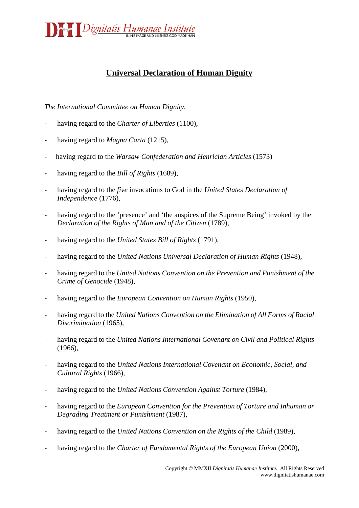

## **Universal Declaration of Human Dignity**

*The International Committee on Human Dignity,*

- having regard to the *Charter of Liberties* (1100),
- having regard to *Magna Carta* (1215),
- having regard to the *Warsaw Confederation and Henrician Articles* (1573)
- having regard to the *Bill of Rights* (1689),
- having regard to the *five* invocations to God in the *United States Declaration of Independence* (1776),
- having regard to the 'presence' and 'the auspices of the Supreme Being' invoked by the *Declaration of the Rights of Man and of the Citizen* (1789),
- having regard to the *United States Bill of Rights* (1791),
- having regard to the *United Nations Universal Declaration of Human Rights* (1948),
- having regard to the *United Nation[s Convention on the Prevention and Punishment of the](http://en.wikipedia.org/wiki/Convention_on_the_Prevention_and_Punishment_of_the_Crime_of_Genocide)  [Crime of Genocide](http://en.wikipedia.org/wiki/Convention_on_the_Prevention_and_Punishment_of_the_Crime_of_Genocide)* (1948),
- having regard to the *European Convention on Human Rights* (1950),
- having regard to the *United Nations [Convention on the Elimination of All Forms of Racial](http://en.wikipedia.org/wiki/Convention_on_the_Elimination_of_All_Forms_of_Racial_Discrimination)  [Discrimination](http://en.wikipedia.org/wiki/Convention_on_the_Elimination_of_All_Forms_of_Racial_Discrimination)* (1965),
- having regard to the *United Nations [International Covenant on Civil and Political Rights](http://en.wikipedia.org/wiki/International_Covenant_on_Civil_and_Political_Rights)* (1966),
- having regard to the *United Nations [International Covenant on Economic, Social, and](http://en.wikipedia.org/wiki/International_Covenant_on_Economic%2C_Social%2C_and_Cultural_Rights)  [Cultural Rights](http://en.wikipedia.org/wiki/International_Covenant_on_Economic%2C_Social%2C_and_Cultural_Rights)* (1966),
- having regard to the *United Nations [Convention Against Torture](http://en.wikipedia.org/wiki/United_Nations_Convention_Against_Torture)* (1984),
- having regard to the *[European Convention for the Prevention of Torture](http://en.wikipedia.org/wiki/European_Convention_on_Torture) and Inhuman or Degrading Treatment or Punishment* (1987),
- having regard to the *United Nations Convention on the Rights of the Child* (1989),
- having regard to the *Charter of Fundamental Rights of the European Union* (2000),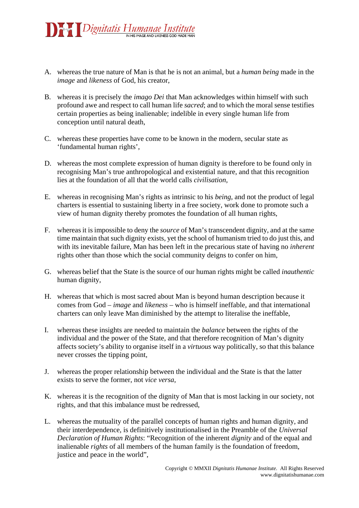

- A. whereas the true nature of Man is that he is not an animal, but a *human being* made in the *image* and *likeness* of God, his creator,
- B. whereas it is precisely the *imago Dei* that Man acknowledges within himself with such profound awe and respect to call human life *sacred*; and to which the moral sense testifies certain properties as being inalienable; indelible in every single human life from conception until natural death,
- C. whereas these properties have come to be known in the modern, secular state as 'fundamental human rights',
- D. whereas the most complete expression of human dignity is therefore to be found only in recognising Man's true anthropological and existential nature, and that this recognition lies at the foundation of all that the world calls *civilisation*,
- E. whereas in recognising Man's rights as intrinsic to his *being*, and not the product of legal charters is essential to sustaining liberty in a free society, work done to promote such a view of human dignity thereby promotes the foundation of all human rights,
- F. whereas it is impossible to deny the *source* of Man's transcendent dignity, and at the same time maintain that such dignity exists, yet the school of humanism tried to do just this, and with its inevitable failure, Man has been left in the precarious state of having no *inherent* rights other than those which the social community deigns to confer on him,
- G. whereas belief that the State is the source of our human rights might be called *inauthentic* human dignity,
- H. whereas that which is most sacred about Man is beyond human description because it comes from God – *image* and *likeness* – who is himself ineffable, and that international charters can only leave Man diminished by the attempt to literalise the ineffable,
- I. whereas these insights are needed to maintain the *balance* between the rights of the individual and the power of the State, and that therefore recognition of Man's dignity affects society's ability to organise itself in a *virtuous* way politically, so that this balance never crosses the tipping point,
- J. whereas the proper relationship between the individual and the State is that the latter exists to serve the former, not *vice versa*,
- K. whereas it is the recognition of the dignity of Man that is most lacking in our society, not rights, and that this imbalance must be redressed,
- L. whereas the mutuality of the parallel concepts of human rights and human dignity, and their interdependence, is definitively institutionalised in the Preamble of the *Universal Declaration of Human Rights*: "Recognition of the inherent *dignity* and of the equal and inalienable *rights* of all members of the human family is the foundation of freedom, justice and peace in the world",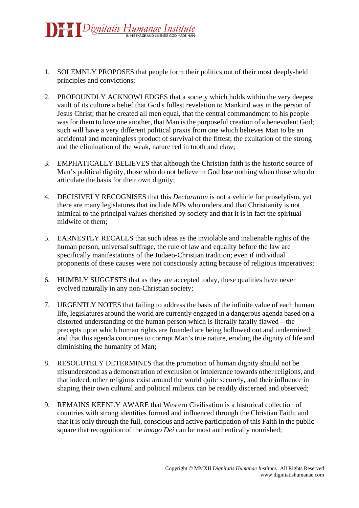

- 1. SOLEMNLY PROPOSES that people form their politics out of their most deeply-held principles and convictions;
- 2. PROFOUNDLY ACKNOWLEDGES that a society which holds within the very deepest vault of its culture a belief that God's fullest revelation to Mankind was in the person of Jesus Christ; that he created all men equal, that the central commandment to his people was for them to love one another, that Man is the purposeful creation of a benevolent God; such will have a very different political praxis from one which believes Man to be an accidental and meaningless product of survival of the fittest; the exultation of the strong and the elimination of the weak, nature red in tooth and claw;
- 3. EMPHATICALLY BELIEVES that although the Christian faith is the historic source of Man's political dignity, those who do not believe in God lose nothing when those who do articulate the basis for their own dignity;
- 4. DECISIVELY RECOGNISES that this *Declaration* is not a vehicle for proselytism, yet there are many legislatures that include MPs who understand that Christianity is not inimical to the principal values cherished by society and that it is in fact the spiritual midwife of them;
- 5. EARNESTLY RECALLS that such ideas as the inviolable and inalienable rights of the human person, universal suffrage, the rule of law and equality before the law are specifically manifestations of the Judaeo-Christian tradition; even if individual proponents of these causes were not consciously acting because of religious imperatives;
- 6. HUMBLY SUGGESTS that as they are accepted today, these qualities have never evolved naturally in any non-Christian society;
- 7. URGENTLY NOTES that failing to address the basis of the infinite value of each human life, legislatures around the world are currently engaged in a dangerous agenda based on a distorted understanding of the human person which is literally fatally flawed – the precepts upon which human rights are founded are being hollowed out and undermined; and that this agenda continues to corrupt Man's true nature, eroding the dignity of life and diminishing the humanity of Man;
- 8. RESOLUTELY DETERMINES that the promotion of human dignity should not be misunderstood as a demonstration of exclusion or intolerance towards other religions, and that indeed, other religions exist around the world quite securely, and their influence in shaping their own cultural and political milieux can be readily discerned and observed;
- 9. REMAINS KEENLY AWARE that Western Civilisation is a historical collection of countries with strong identities formed and influenced through the Christian Faith; and that it is only through the full, conscious and active participation of this Faith in the public square that recognition of the *imago Dei* can be most authentically nourished;